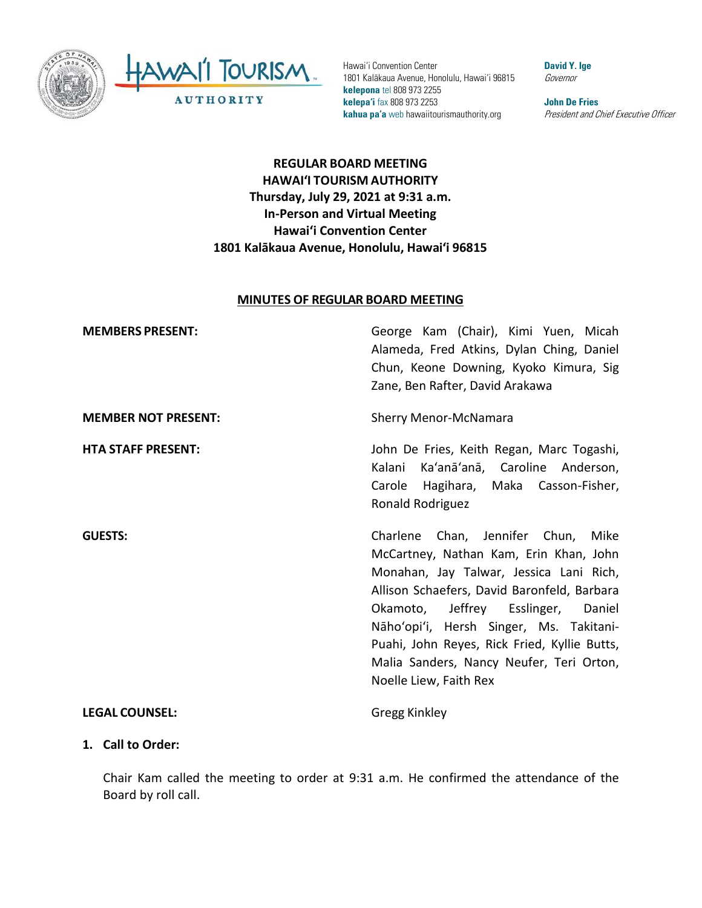

HAWAII TOURISM **AUTHORITY** 

Hawai'i Convention Center 1801 Kalākaua Avenue, Honolulu, Hawai'i 96815 **kelepona** tel 808 973 2255 **kelepa'i** fax 808 973 2253 **kahua pa'a** web hawaiitourismauthority.org

**David Y. Ige** Governor

**John De Fries** President and Chief Executive Officer

# **REGULAR BOARD MEETING HAWAI'I TOURISM AUTHORITY Thursday, July 29, 2021 at 9:31 a.m. In-Person and Virtual Meeting Hawaiʻi Convention Center 1801 Kalākaua Avenue, Honolulu, Hawaiʻi 96815**

#### **MINUTES OF REGULAR BOARD MEETING**

**MEMBERS PRESENT:** George Kam (Chair), Kimi Yuen, Micah Alameda, Fred Atkins, Dylan Ching, Daniel Chun, Keone Downing, Kyoko Kimura, Sig Zane, Ben Rafter, David Arakawa **MEMBER NOT PRESENT:** Sherry Menor-McNamara **HTA STAFF PRESENT:** John De Fries, Keith Regan, Marc Togashi, Kalani Ka'anā'anā, Caroline Anderson, Carole Hagihara, Maka Casson-Fisher, Ronald Rodriguez **GUESTS:** Charlene Chan, Jennifer Chun, Mike McCartney, Nathan Kam, Erin Khan, John Monahan, Jay Talwar, Jessica Lani Rich, Allison Schaefers, David Baronfeld, Barbara Okamoto, Jeffrey Esslinger, Daniel Nāho'opi'i, Hersh Singer, Ms. Takitani-Puahi, John Reyes, Rick Fried, Kyllie Butts, Malia Sanders, Nancy Neufer, Teri Orton, Noelle Liew, Faith Rex **LEGAL COUNSEL:** Gregg Kinkley

#### **1. Call to Order:**

Chair Kam called the meeting to order at 9:31 a.m. He confirmed the attendance of the Board by roll call.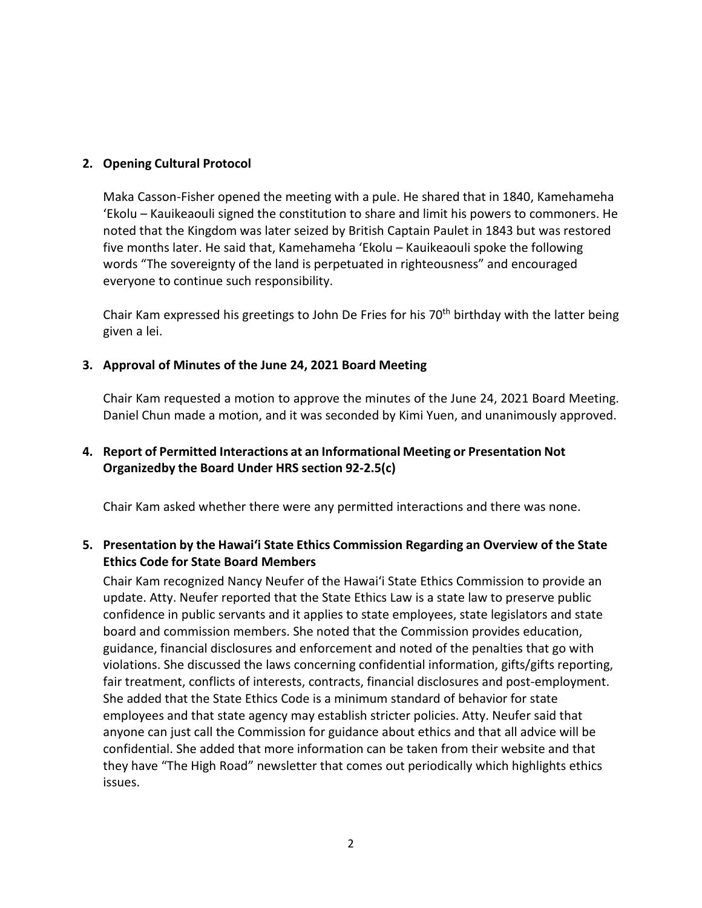#### **2. Opening Cultural Protocol**

Maka Casson-Fisher opened the meeting with a pule. He shared that in 1840, Kamehameha ʻEkolu – Kauikeaouli signed the constitution to share and limit his powers to commoners. He noted that the Kingdom was later seized by British Captain Paulet in 1843 but was restored five months later. He said that, Kamehameha ʻEkolu – Kauikeaouli spoke the following words "The sovereignty of the land is perpetuated in righteousness" and encouraged everyone to continue such responsibility.

Chair Kam expressed his greetings to John De Fries for his 70<sup>th</sup> birthday with the latter being given a lei.

#### **3. Approval of Minutes of the June 24, 2021 Board Meeting**

Chair Kam requested a motion to approve the minutes of the June 24, 2021 Board Meeting. Daniel Chun made a motion, and it was seconded by Kimi Yuen, and unanimously approved.

# **4. Report of Permitted Interactions at an Informational Meeting or Presentation Not Organizedby the Board Under HRS section 92-2.5(c)**

Chair Kam asked whether there were any permitted interactions and there was none.

# **5. Presentation by the Hawai'i State Ethics Commission Regarding an Overview of the State Ethics Code for State Board Members**

Chair Kam recognized Nancy Neufer of the Hawaiʻi State Ethics Commission to provide an update. Atty. Neufer reported that the State Ethics Law is a state law to preserve public confidence in public servants and it applies to state employees, state legislators and state board and commission members. She noted that the Commission provides education, guidance, financial disclosures and enforcement and noted of the penalties that go with violations. She discussed the laws concerning confidential information, gifts/gifts reporting, fair treatment, conflicts of interests, contracts, financial disclosures and post-employment. She added that the State Ethics Code is a minimum standard of behavior for state employees and that state agency may establish stricter policies. Atty. Neufer said that anyone can just call the Commission for guidance about ethics and that all advice will be confidential. She added that more information can be taken from their website and that they have "The High Road" newsletter that comes out periodically which highlights ethics issues.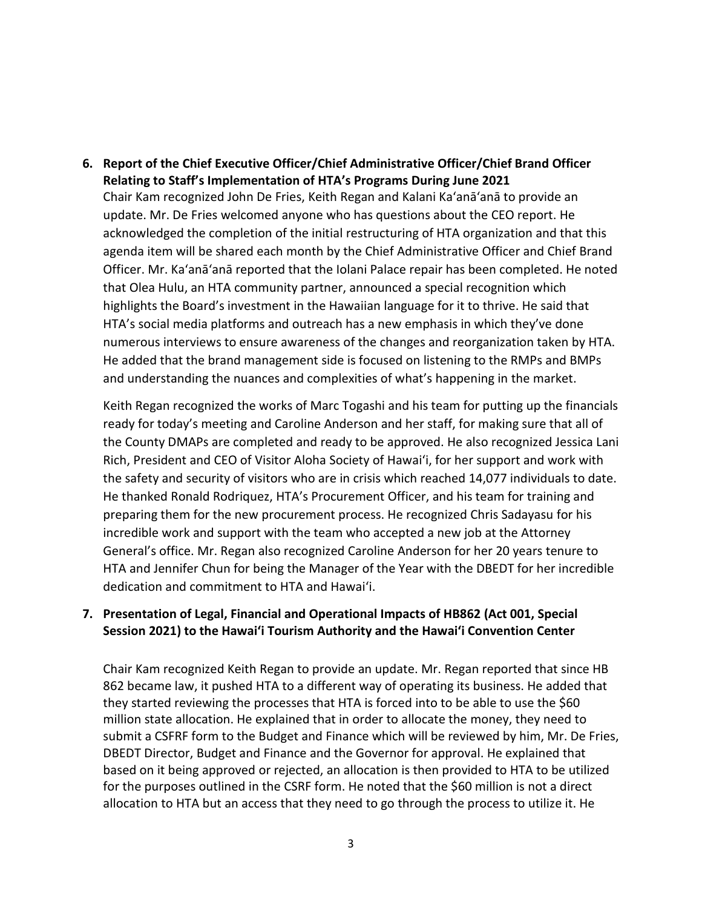**6. Report of the Chief Executive Officer/Chief Administrative Officer/Chief Brand Officer Relating to Staff's Implementation of HTA's Programs During June 2021** Chair Kam recognized John De Fries, Keith Regan and Kalani Ka'anā'anā to provide an update. Mr. De Fries welcomed anyone who has questions about the CEO report. He acknowledged the completion of the initial restructuring of HTA organization and that this agenda item will be shared each month by the Chief Administrative Officer and Chief Brand Officer. Mr. Ka'anā'anā reported that the Iolani Palace repair has been completed. He noted that Olea Hulu, an HTA community partner, announced a special recognition which highlights the Board's investment in the Hawaiian language for it to thrive. He said that HTA's social media platforms and outreach has a new emphasis in which they've done numerous interviews to ensure awareness of the changes and reorganization taken by HTA. He added that the brand management side is focused on listening to the RMPs and BMPs and understanding the nuances and complexities of what's happening in the market.

Keith Regan recognized the works of Marc Togashi and his team for putting up the financials ready for today's meeting and Caroline Anderson and her staff, for making sure that all of the County DMAPs are completed and ready to be approved. He also recognized Jessica Lani Rich, President and CEO of Visitor Aloha Society of Hawaiʻi, for her support and work with the safety and security of visitors who are in crisis which reached 14,077 individuals to date. He thanked Ronald Rodriquez, HTA's Procurement Officer, and his team for training and preparing them for the new procurement process. He recognized Chris Sadayasu for his incredible work and support with the team who accepted a new job at the Attorney General's office. Mr. Regan also recognized Caroline Anderson for her 20 years tenure to HTA and Jennifer Chun for being the Manager of the Year with the DBEDT for her incredible dedication and commitment to HTA and Hawaiʻi.

## **7. Presentation of Legal, Financial and Operational Impacts of HB862 (Act 001, Special Session 2021) to the Hawaiʻi Tourism Authority and the Hawaiʻi Convention Center**

Chair Kam recognized Keith Regan to provide an update. Mr. Regan reported that since HB 862 became law, it pushed HTA to a different way of operating its business. He added that they started reviewing the processes that HTA is forced into to be able to use the \$60 million state allocation. He explained that in order to allocate the money, they need to submit a CSFRF form to the Budget and Finance which will be reviewed by him, Mr. De Fries, DBEDT Director, Budget and Finance and the Governor for approval. He explained that based on it being approved or rejected, an allocation is then provided to HTA to be utilized for the purposes outlined in the CSRF form. He noted that the \$60 million is not a direct allocation to HTA but an access that they need to go through the process to utilize it. He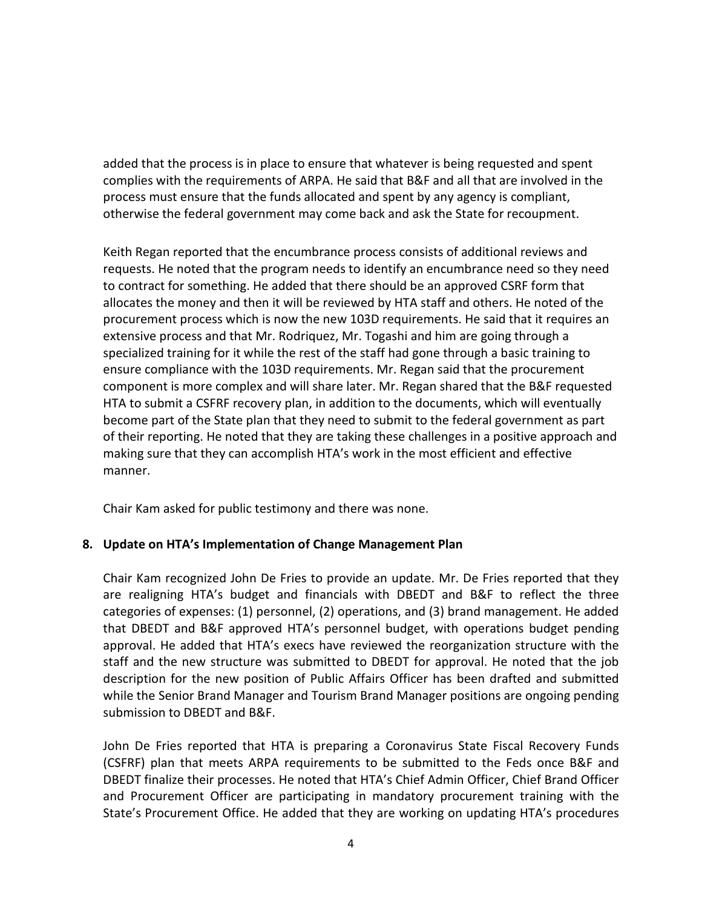added that the process is in place to ensure that whatever is being requested and spent complies with the requirements of ARPA. He said that B&F and all that are involved in the process must ensure that the funds allocated and spent by any agency is compliant, otherwise the federal government may come back and ask the State for recoupment.

Keith Regan reported that the encumbrance process consists of additional reviews and requests. He noted that the program needs to identify an encumbrance need so they need to contract for something. He added that there should be an approved CSRF form that allocates the money and then it will be reviewed by HTA staff and others. He noted of the procurement process which is now the new 103D requirements. He said that it requires an extensive process and that Mr. Rodriquez, Mr. Togashi and him are going through a specialized training for it while the rest of the staff had gone through a basic training to ensure compliance with the 103D requirements. Mr. Regan said that the procurement component is more complex and will share later. Mr. Regan shared that the B&F requested HTA to submit a CSFRF recovery plan, in addition to the documents, which will eventually become part of the State plan that they need to submit to the federal government as part of their reporting. He noted that they are taking these challenges in a positive approach and making sure that they can accomplish HTA's work in the most efficient and effective manner.

Chair Kam asked for public testimony and there was none.

## **8. Update on HTA's Implementation of Change Management Plan**

Chair Kam recognized John De Fries to provide an update. Mr. De Fries reported that they are realigning HTA's budget and financials with DBEDT and B&F to reflect the three categories of expenses: (1) personnel, (2) operations, and (3) brand management. He added that DBEDT and B&F approved HTA's personnel budget, with operations budget pending approval. He added that HTA's execs have reviewed the reorganization structure with the staff and the new structure was submitted to DBEDT for approval. He noted that the job description for the new position of Public Affairs Officer has been drafted and submitted while the Senior Brand Manager and Tourism Brand Manager positions are ongoing pending submission to DBEDT and B&F.

John De Fries reported that HTA is preparing a Coronavirus State Fiscal Recovery Funds (CSFRF) plan that meets ARPA requirements to be submitted to the Feds once B&F and DBEDT finalize their processes. He noted that HTA's Chief Admin Officer, Chief Brand Officer and Procurement Officer are participating in mandatory procurement training with the State's Procurement Office. He added that they are working on updating HTA's procedures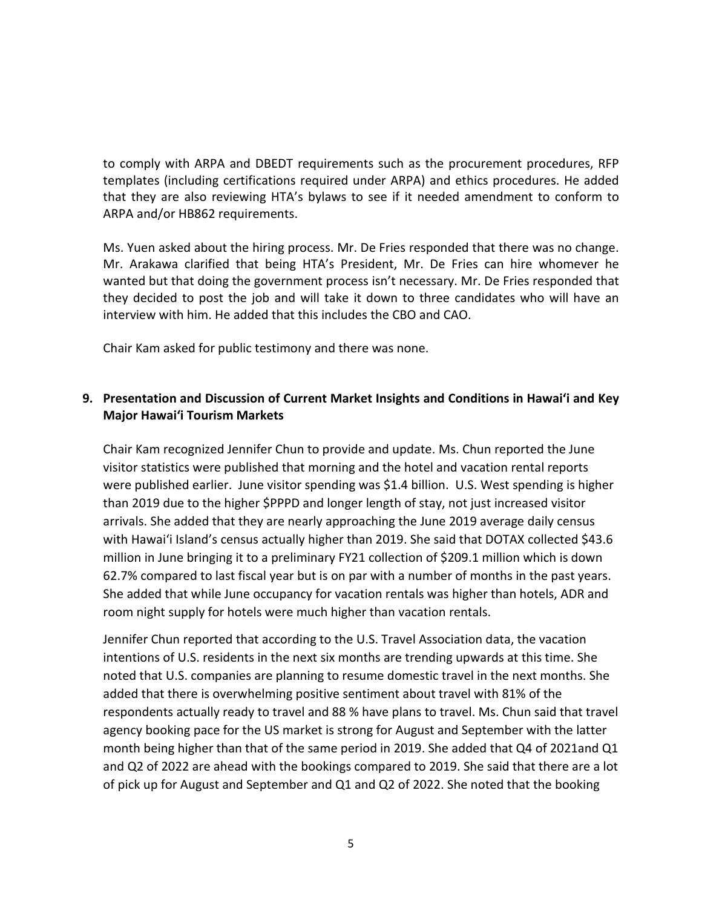to comply with ARPA and DBEDT requirements such as the procurement procedures, RFP templates (including certifications required under ARPA) and ethics procedures. He added that they are also reviewing HTA's bylaws to see if it needed amendment to conform to ARPA and/or HB862 requirements.

Ms. Yuen asked about the hiring process. Mr. De Fries responded that there was no change. Mr. Arakawa clarified that being HTA's President, Mr. De Fries can hire whomever he wanted but that doing the government process isn't necessary. Mr. De Fries responded that they decided to post the job and will take it down to three candidates who will have an interview with him. He added that this includes the CBO and CAO.

Chair Kam asked for public testimony and there was none.

# **9. Presentation and Discussion of Current Market Insights and Conditions in Hawai'i and Key Major Hawai'i Tourism Markets**

Chair Kam recognized Jennifer Chun to provide and update. Ms. Chun reported the June visitor statistics were published that morning and the hotel and vacation rental reports were published earlier. June visitor spending was \$1.4 billion. U.S. West spending is higher than 2019 due to the higher \$PPPD and longer length of stay, not just increased visitor arrivals. She added that they are nearly approaching the June 2019 average daily census with Hawaiʻi Island's census actually higher than 2019. She said that DOTAX collected \$43.6 million in June bringing it to a preliminary FY21 collection of \$209.1 million which is down 62.7% compared to last fiscal year but is on par with a number of months in the past years. She added that while June occupancy for vacation rentals was higher than hotels, ADR and room night supply for hotels were much higher than vacation rentals.

Jennifer Chun reported that according to the U.S. Travel Association data, the vacation intentions of U.S. residents in the next six months are trending upwards at this time. She noted that U.S. companies are planning to resume domestic travel in the next months. She added that there is overwhelming positive sentiment about travel with 81% of the respondents actually ready to travel and 88 % have plans to travel. Ms. Chun said that travel agency booking pace for the US market is strong for August and September with the latter month being higher than that of the same period in 2019. She added that Q4 of 2021and Q1 and Q2 of 2022 are ahead with the bookings compared to 2019. She said that there are a lot of pick up for August and September and Q1 and Q2 of 2022. She noted that the booking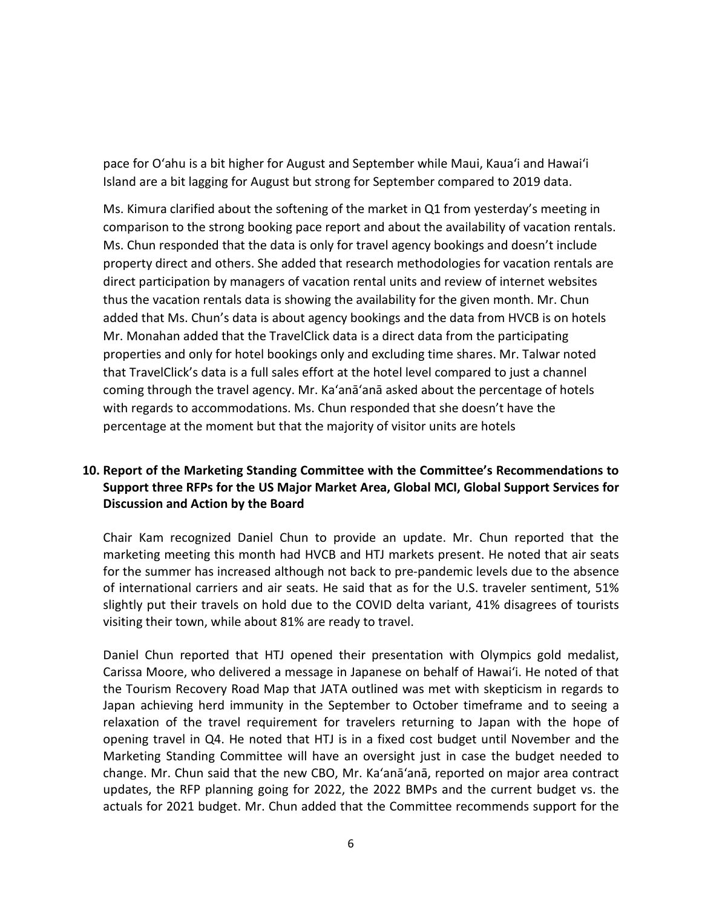pace for O'ahu is a bit higher for August and September while Maui, Kauaʻi and Hawaiʻi Island are a bit lagging for August but strong for September compared to 2019 data.

Ms. Kimura clarified about the softening of the market in Q1 from yesterday's meeting in comparison to the strong booking pace report and about the availability of vacation rentals. Ms. Chun responded that the data is only for travel agency bookings and doesn't include property direct and others. She added that research methodologies for vacation rentals are direct participation by managers of vacation rental units and review of internet websites thus the vacation rentals data is showing the availability for the given month. Mr. Chun added that Ms. Chun's data is about agency bookings and the data from HVCB is on hotels Mr. Monahan added that the TravelClick data is a direct data from the participating properties and only for hotel bookings only and excluding time shares. Mr. Talwar noted that TravelClick's data is a full sales effort at the hotel level compared to just a channel coming through the travel agency. Mr. Ka'anā'anā asked about the percentage of hotels with regards to accommodations. Ms. Chun responded that she doesn't have the percentage at the moment but that the majority of visitor units are hotels

## **10. Report of the Marketing Standing Committee with the Committee's Recommendations to Support three RFPs for the US Major Market Area, Global MCI, Global Support Services for Discussion and Action by the Board**

Chair Kam recognized Daniel Chun to provide an update. Mr. Chun reported that the marketing meeting this month had HVCB and HTJ markets present. He noted that air seats for the summer has increased although not back to pre-pandemic levels due to the absence of international carriers and air seats. He said that as for the U.S. traveler sentiment, 51% slightly put their travels on hold due to the COVID delta variant, 41% disagrees of tourists visiting their town, while about 81% are ready to travel.

Daniel Chun reported that HTJ opened their presentation with Olympics gold medalist, Carissa Moore, who delivered a message in Japanese on behalf of Hawaiʻi. He noted of that the Tourism Recovery Road Map that JATA outlined was met with skepticism in regards to Japan achieving herd immunity in the September to October timeframe and to seeing a relaxation of the travel requirement for travelers returning to Japan with the hope of opening travel in Q4. He noted that HTJ is in a fixed cost budget until November and the Marketing Standing Committee will have an oversight just in case the budget needed to change. Mr. Chun said that the new CBO, Mr. Ka'anā'anā, reported on major area contract updates, the RFP planning going for 2022, the 2022 BMPs and the current budget vs. the actuals for 2021 budget. Mr. Chun added that the Committee recommends support for the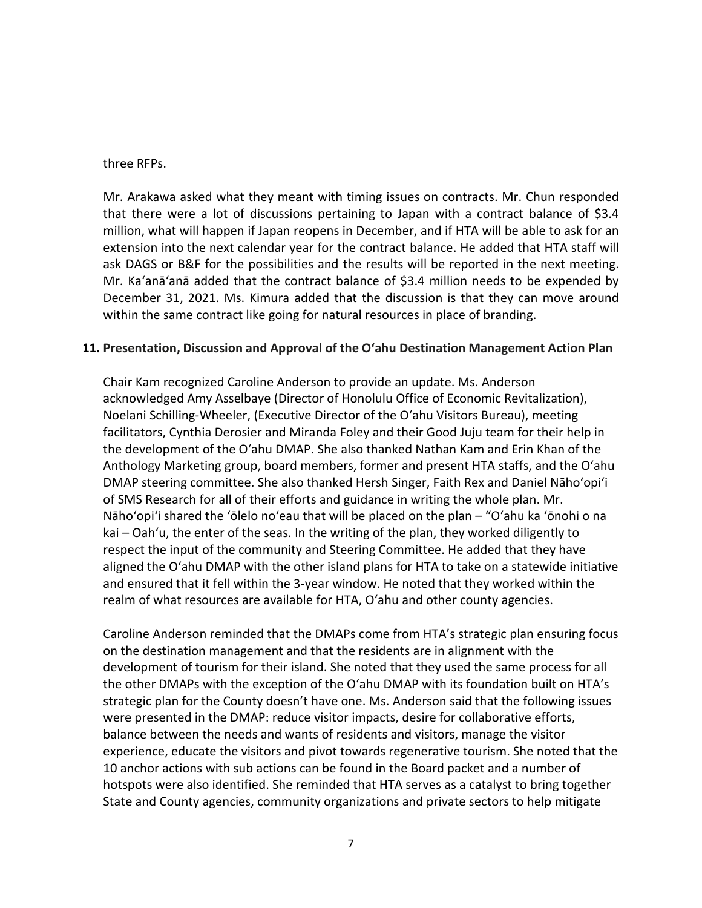#### three RFPs.

Mr. Arakawa asked what they meant with timing issues on contracts. Mr. Chun responded that there were a lot of discussions pertaining to Japan with a contract balance of \$3.4 million, what will happen if Japan reopens in December, and if HTA will be able to ask for an extension into the next calendar year for the contract balance. He added that HTA staff will ask DAGS or B&F for the possibilities and the results will be reported in the next meeting. Mr. Ka'anā'anā added that the contract balance of \$3.4 million needs to be expended by December 31, 2021. Ms. Kimura added that the discussion is that they can move around within the same contract like going for natural resources in place of branding.

#### **11. Presentation, Discussion and Approval of the O'ahu Destination Management Action Plan**

Chair Kam recognized Caroline Anderson to provide an update. Ms. Anderson acknowledged Amy Asselbaye (Director of Honolulu Office of Economic Revitalization), Noelani Schilling-Wheeler, (Executive Director of the O'ahu Visitors Bureau), meeting facilitators, Cynthia Derosier and Miranda Foley and their Good Juju team for their help in the development of the O'ahu DMAP. She also thanked Nathan Kam and Erin Khan of the Anthology Marketing group, board members, former and present HTA staffs, and the O'ahu DMAP steering committee. She also thanked Hersh Singer, Faith Rex and Daniel Nāho'opi'i of SMS Research for all of their efforts and guidance in writing the whole plan. Mr. Nāho'opi'i shared the 'ōlelo no'eau that will be placed on the plan – "O'ahu ka 'ōnohi o na kai – Oah'u, the enter of the seas. In the writing of the plan, they worked diligently to respect the input of the community and Steering Committee. He added that they have aligned the O'ahu DMAP with the other island plans for HTA to take on a statewide initiative and ensured that it fell within the 3-year window. He noted that they worked within the realm of what resources are available for HTA, O'ahu and other county agencies.

Caroline Anderson reminded that the DMAPs come from HTA's strategic plan ensuring focus on the destination management and that the residents are in alignment with the development of tourism for their island. She noted that they used the same process for all the other DMAPs with the exception of the O'ahu DMAP with its foundation built on HTA's strategic plan for the County doesn't have one. Ms. Anderson said that the following issues were presented in the DMAP: reduce visitor impacts, desire for collaborative efforts, balance between the needs and wants of residents and visitors, manage the visitor experience, educate the visitors and pivot towards regenerative tourism. She noted that the 10 anchor actions with sub actions can be found in the Board packet and a number of hotspots were also identified. She reminded that HTA serves as a catalyst to bring together State and County agencies, community organizations and private sectors to help mitigate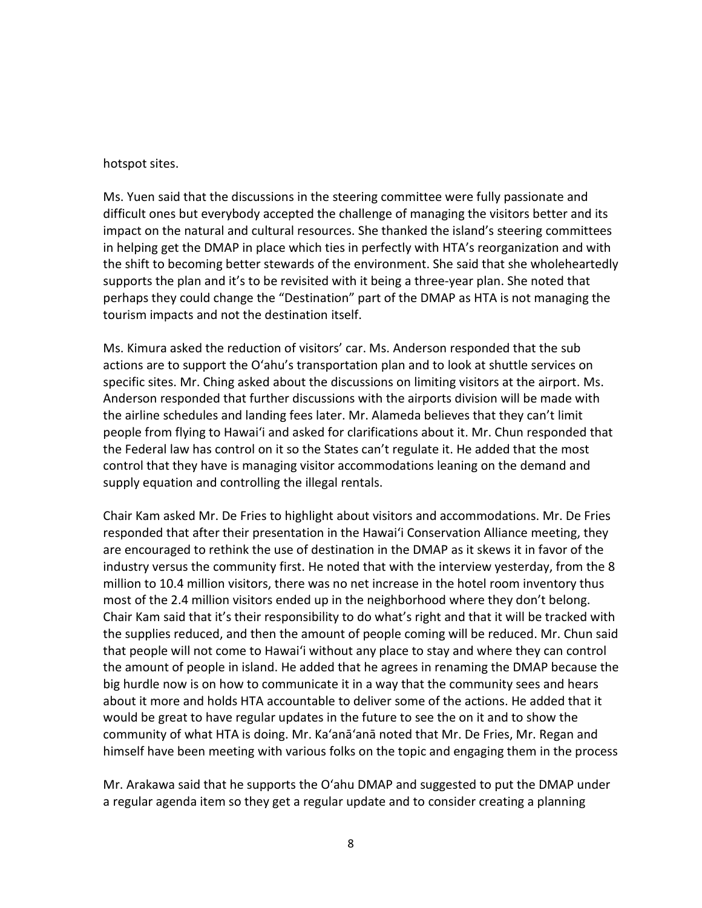#### hotspot sites.

Ms. Yuen said that the discussions in the steering committee were fully passionate and difficult ones but everybody accepted the challenge of managing the visitors better and its impact on the natural and cultural resources. She thanked the island's steering committees in helping get the DMAP in place which ties in perfectly with HTA's reorganization and with the shift to becoming better stewards of the environment. She said that she wholeheartedly supports the plan and it's to be revisited with it being a three-year plan. She noted that perhaps they could change the "Destination" part of the DMAP as HTA is not managing the tourism impacts and not the destination itself.

Ms. Kimura asked the reduction of visitors' car. Ms. Anderson responded that the sub actions are to support the O'ahu's transportation plan and to look at shuttle services on specific sites. Mr. Ching asked about the discussions on limiting visitors at the airport. Ms. Anderson responded that further discussions with the airports division will be made with the airline schedules and landing fees later. Mr. Alameda believes that they can't limit people from flying to Hawaiʻi and asked for clarifications about it. Mr. Chun responded that the Federal law has control on it so the States can't regulate it. He added that the most control that they have is managing visitor accommodations leaning on the demand and supply equation and controlling the illegal rentals.

Chair Kam asked Mr. De Fries to highlight about visitors and accommodations. Mr. De Fries responded that after their presentation in the Hawai'i Conservation Alliance meeting, they are encouraged to rethink the use of destination in the DMAP as it skews it in favor of the industry versus the community first. He noted that with the interview yesterday, from the 8 million to 10.4 million visitors, there was no net increase in the hotel room inventory thus most of the 2.4 million visitors ended up in the neighborhood where they don't belong. Chair Kam said that it's their responsibility to do what's right and that it will be tracked with the supplies reduced, and then the amount of people coming will be reduced. Mr. Chun said that people will not come to Hawaiʻi without any place to stay and where they can control the amount of people in island. He added that he agrees in renaming the DMAP because the big hurdle now is on how to communicate it in a way that the community sees and hears about it more and holds HTA accountable to deliver some of the actions. He added that it would be great to have regular updates in the future to see the on it and to show the community of what HTA is doing. Mr. Ka'anā'anā noted that Mr. De Fries, Mr. Regan and himself have been meeting with various folks on the topic and engaging them in the process

Mr. Arakawa said that he supports the O'ahu DMAP and suggested to put the DMAP under a regular agenda item so they get a regular update and to consider creating a planning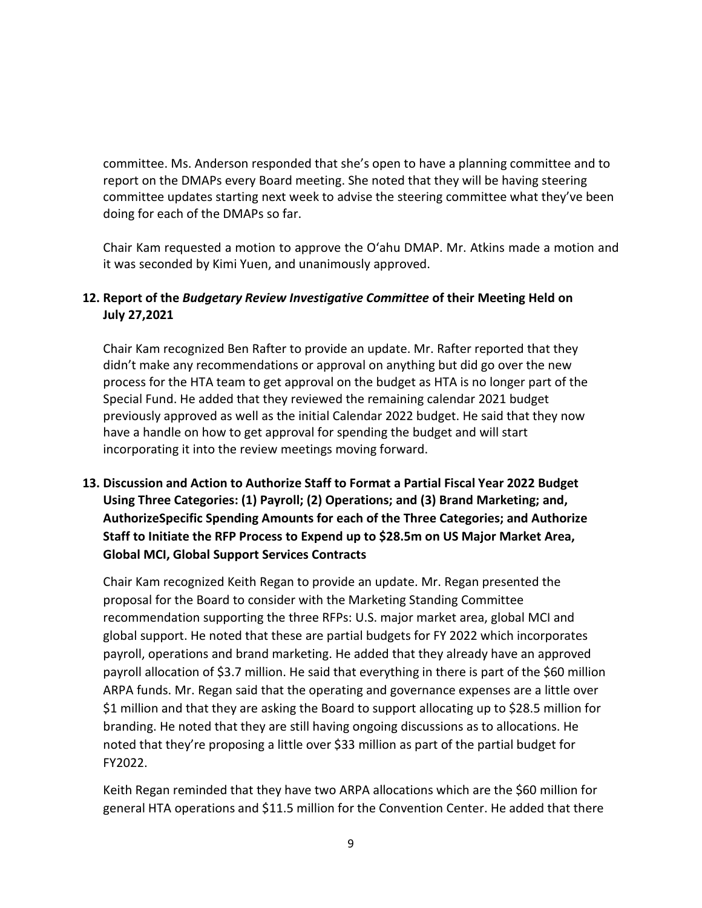committee. Ms. Anderson responded that she's open to have a planning committee and to report on the DMAPs every Board meeting. She noted that they will be having steering committee updates starting next week to advise the steering committee what they've been doing for each of the DMAPs so far.

Chair Kam requested a motion to approve the O'ahu DMAP. Mr. Atkins made a motion and it was seconded by Kimi Yuen, and unanimously approved.

# **12. Report of the** *Budgetary Review Investigative Committee* **of their Meeting Held on July 27,2021**

Chair Kam recognized Ben Rafter to provide an update. Mr. Rafter reported that they didn't make any recommendations or approval on anything but did go over the new process for the HTA team to get approval on the budget as HTA is no longer part of the Special Fund. He added that they reviewed the remaining calendar 2021 budget previously approved as well as the initial Calendar 2022 budget. He said that they now have a handle on how to get approval for spending the budget and will start incorporating it into the review meetings moving forward.

**13. Discussion and Action to Authorize Staff to Format a Partial Fiscal Year 2022 Budget Using Three Categories: (1) Payroll; (2) Operations; and (3) Brand Marketing; and, AuthorizeSpecific Spending Amounts for each of the Three Categories; and Authorize Staff to Initiate the RFP Process to Expend up to \$28.5m on US Major Market Area, Global MCI, Global Support Services Contracts**

Chair Kam recognized Keith Regan to provide an update. Mr. Regan presented the proposal for the Board to consider with the Marketing Standing Committee recommendation supporting the three RFPs: U.S. major market area, global MCI and global support. He noted that these are partial budgets for FY 2022 which incorporates payroll, operations and brand marketing. He added that they already have an approved payroll allocation of \$3.7 million. He said that everything in there is part of the \$60 million ARPA funds. Mr. Regan said that the operating and governance expenses are a little over \$1 million and that they are asking the Board to support allocating up to \$28.5 million for branding. He noted that they are still having ongoing discussions as to allocations. He noted that they're proposing a little over \$33 million as part of the partial budget for FY2022.

Keith Regan reminded that they have two ARPA allocations which are the \$60 million for general HTA operations and \$11.5 million for the Convention Center. He added that there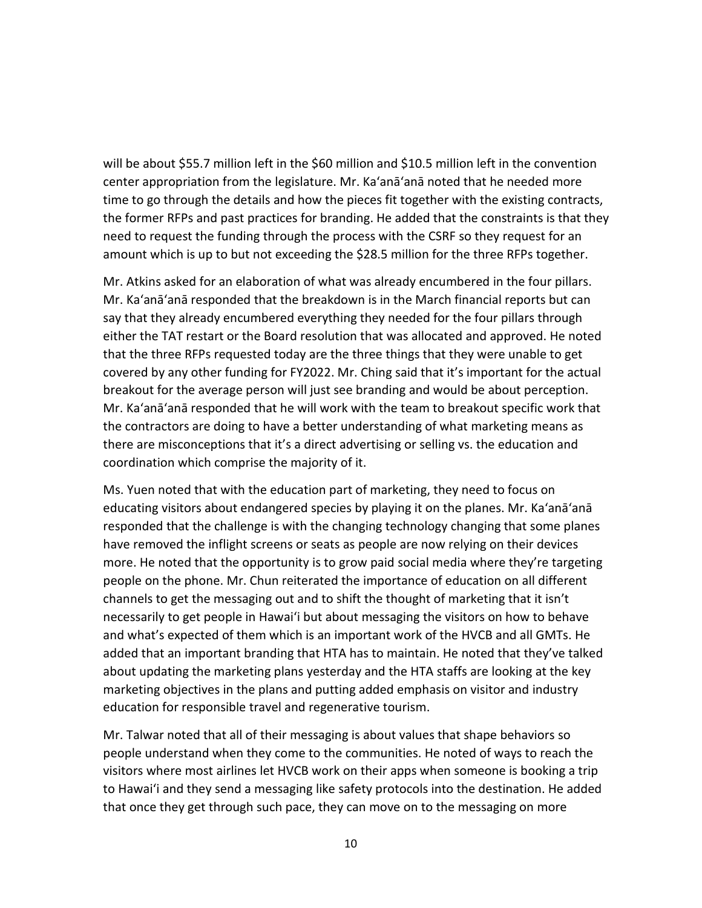will be about \$55.7 million left in the \$60 million and \$10.5 million left in the convention center appropriation from the legislature. Mr. Ka'anā'anā noted that he needed more time to go through the details and how the pieces fit together with the existing contracts, the former RFPs and past practices for branding. He added that the constraints is that they need to request the funding through the process with the CSRF so they request for an amount which is up to but not exceeding the \$28.5 million for the three RFPs together.

Mr. Atkins asked for an elaboration of what was already encumbered in the four pillars. Mr. Ka'anā'anā responded that the breakdown is in the March financial reports but can say that they already encumbered everything they needed for the four pillars through either the TAT restart or the Board resolution that was allocated and approved. He noted that the three RFPs requested today are the three things that they were unable to get covered by any other funding for FY2022. Mr. Ching said that it's important for the actual breakout for the average person will just see branding and would be about perception. Mr. Ka'anā'anā responded that he will work with the team to breakout specific work that the contractors are doing to have a better understanding of what marketing means as there are misconceptions that it's a direct advertising or selling vs. the education and coordination which comprise the majority of it.

Ms. Yuen noted that with the education part of marketing, they need to focus on educating visitors about endangered species by playing it on the planes. Mr. Ka'anā'anā responded that the challenge is with the changing technology changing that some planes have removed the inflight screens or seats as people are now relying on their devices more. He noted that the opportunity is to grow paid social media where they're targeting people on the phone. Mr. Chun reiterated the importance of education on all different channels to get the messaging out and to shift the thought of marketing that it isn't necessarily to get people in Hawaiʻi but about messaging the visitors on how to behave and what's expected of them which is an important work of the HVCB and all GMTs. He added that an important branding that HTA has to maintain. He noted that they've talked about updating the marketing plans yesterday and the HTA staffs are looking at the key marketing objectives in the plans and putting added emphasis on visitor and industry education for responsible travel and regenerative tourism.

Mr. Talwar noted that all of their messaging is about values that shape behaviors so people understand when they come to the communities. He noted of ways to reach the visitors where most airlines let HVCB work on their apps when someone is booking a trip to Hawaiʻi and they send a messaging like safety protocols into the destination. He added that once they get through such pace, they can move on to the messaging on more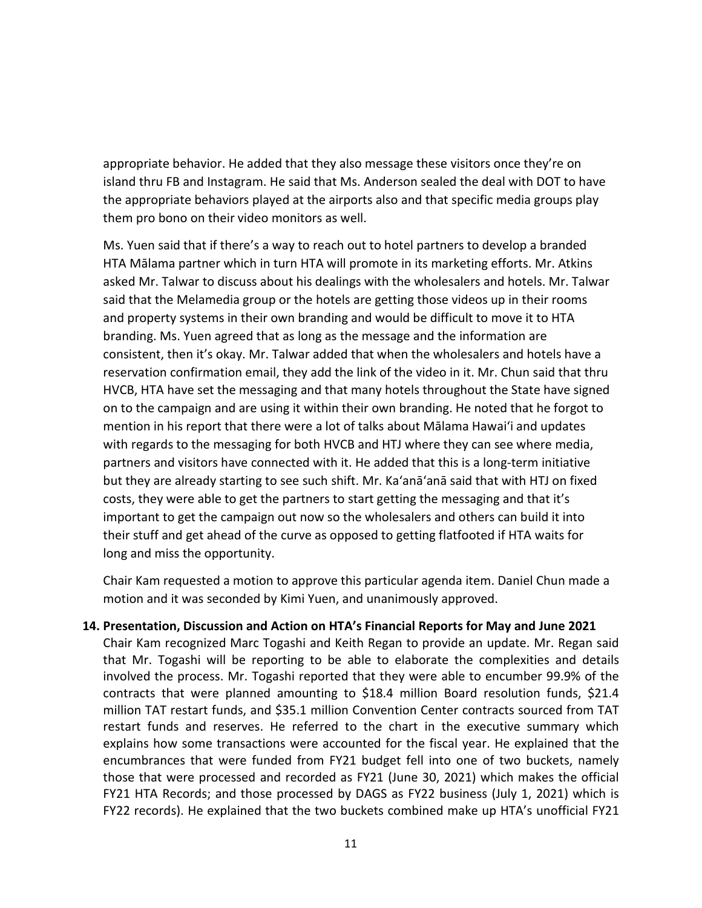appropriate behavior. He added that they also message these visitors once they're on island thru FB and Instagram. He said that Ms. Anderson sealed the deal with DOT to have the appropriate behaviors played at the airports also and that specific media groups play them pro bono on their video monitors as well.

Ms. Yuen said that if there's a way to reach out to hotel partners to develop a branded HTA Mālama partner which in turn HTA will promote in its marketing efforts. Mr. Atkins asked Mr. Talwar to discuss about his dealings with the wholesalers and hotels. Mr. Talwar said that the Melamedia group or the hotels are getting those videos up in their rooms and property systems in their own branding and would be difficult to move it to HTA branding. Ms. Yuen agreed that as long as the message and the information are consistent, then it's okay. Mr. Talwar added that when the wholesalers and hotels have a reservation confirmation email, they add the link of the video in it. Mr. Chun said that thru HVCB, HTA have set the messaging and that many hotels throughout the State have signed on to the campaign and are using it within their own branding. He noted that he forgot to mention in his report that there were a lot of talks about Mālama Hawaiʻi and updates with regards to the messaging for both HVCB and HTJ where they can see where media, partners and visitors have connected with it. He added that this is a long-term initiative but they are already starting to see such shift. Mr. Ka'anā'anā said that with HTJ on fixed costs, they were able to get the partners to start getting the messaging and that it's important to get the campaign out now so the wholesalers and others can build it into their stuff and get ahead of the curve as opposed to getting flatfooted if HTA waits for long and miss the opportunity.

Chair Kam requested a motion to approve this particular agenda item. Daniel Chun made a motion and it was seconded by Kimi Yuen, and unanimously approved.

#### **14. Presentation, Discussion and Action on HTA's Financial Reports for May and June 2021**

Chair Kam recognized Marc Togashi and Keith Regan to provide an update. Mr. Regan said that Mr. Togashi will be reporting to be able to elaborate the complexities and details involved the process. Mr. Togashi reported that they were able to encumber 99.9% of the contracts that were planned amounting to \$18.4 million Board resolution funds, \$21.4 million TAT restart funds, and \$35.1 million Convention Center contracts sourced from TAT restart funds and reserves. He referred to the chart in the executive summary which explains how some transactions were accounted for the fiscal year. He explained that the encumbrances that were funded from FY21 budget fell into one of two buckets, namely those that were processed and recorded as FY21 (June 30, 2021) which makes the official FY21 HTA Records; and those processed by DAGS as FY22 business (July 1, 2021) which is FY22 records). He explained that the two buckets combined make up HTA's unofficial FY21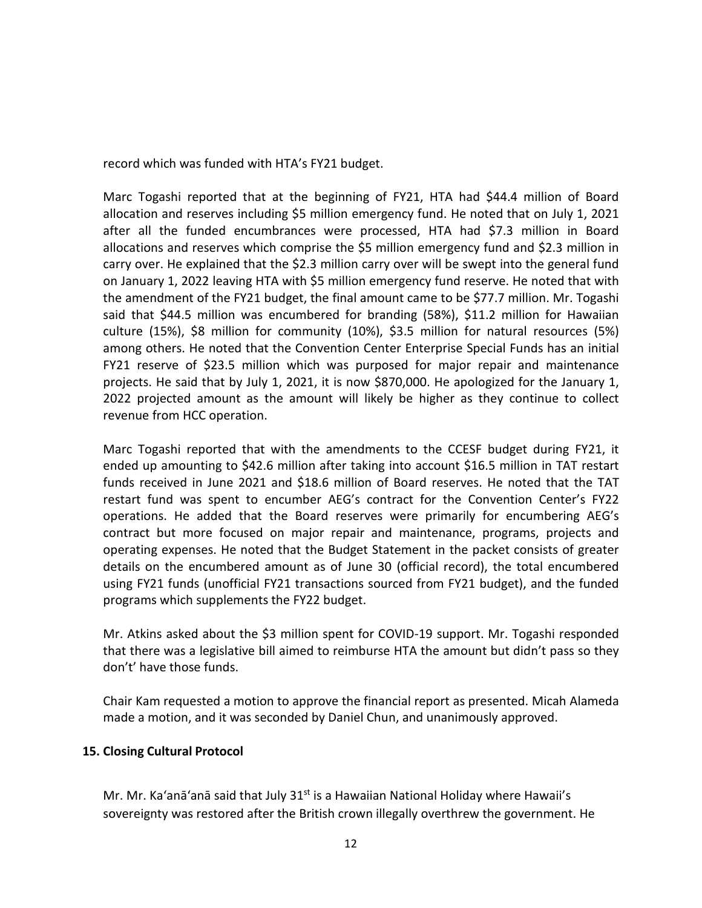record which was funded with HTA's FY21 budget.

Marc Togashi reported that at the beginning of FY21, HTA had \$44.4 million of Board allocation and reserves including \$5 million emergency fund. He noted that on July 1, 2021 after all the funded encumbrances were processed, HTA had \$7.3 million in Board allocations and reserves which comprise the \$5 million emergency fund and \$2.3 million in carry over. He explained that the \$2.3 million carry over will be swept into the general fund on January 1, 2022 leaving HTA with \$5 million emergency fund reserve. He noted that with the amendment of the FY21 budget, the final amount came to be \$77.7 million. Mr. Togashi said that \$44.5 million was encumbered for branding (58%), \$11.2 million for Hawaiian culture (15%), \$8 million for community (10%), \$3.5 million for natural resources (5%) among others. He noted that the Convention Center Enterprise Special Funds has an initial FY21 reserve of \$23.5 million which was purposed for major repair and maintenance projects. He said that by July 1, 2021, it is now \$870,000. He apologized for the January 1, 2022 projected amount as the amount will likely be higher as they continue to collect revenue from HCC operation.

Marc Togashi reported that with the amendments to the CCESF budget during FY21, it ended up amounting to \$42.6 million after taking into account \$16.5 million in TAT restart funds received in June 2021 and \$18.6 million of Board reserves. He noted that the TAT restart fund was spent to encumber AEG's contract for the Convention Center's FY22 operations. He added that the Board reserves were primarily for encumbering AEG's contract but more focused on major repair and maintenance, programs, projects and operating expenses. He noted that the Budget Statement in the packet consists of greater details on the encumbered amount as of June 30 (official record), the total encumbered using FY21 funds (unofficial FY21 transactions sourced from FY21 budget), and the funded programs which supplements the FY22 budget.

Mr. Atkins asked about the \$3 million spent for COVID-19 support. Mr. Togashi responded that there was a legislative bill aimed to reimburse HTA the amount but didn't pass so they don't' have those funds.

Chair Kam requested a motion to approve the financial report as presented. Micah Alameda made a motion, and it was seconded by Daniel Chun, and unanimously approved.

#### **15. Closing Cultural Protocol**

Mr. Mr. Ka'anā'anā said that July  $31<sup>st</sup>$  is a Hawaiian National Holiday where Hawaii's sovereignty was restored after the British crown illegally overthrew the government. He